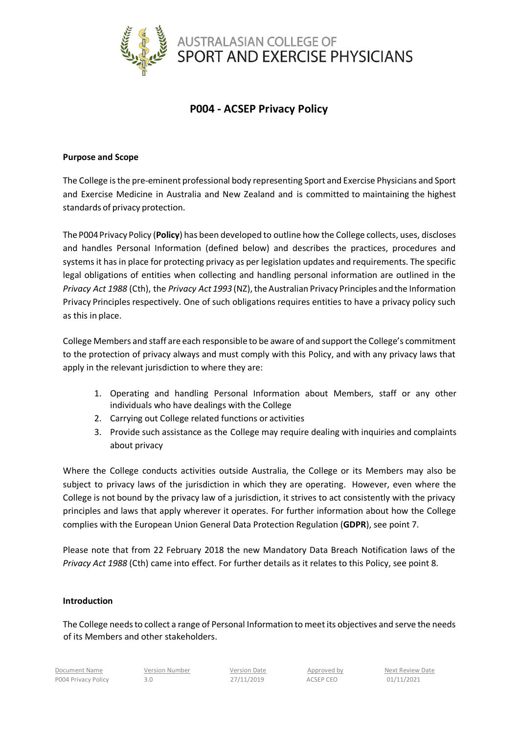

# **P004 - ACSEP Privacy Policy**

## **Purpose and Scope**

The College is the pre-eminent professional body representing Sport and Exercise Physicians and Sport and Exercise Medicine in Australia and New Zealand and is committed to maintaining the highest standards of privacy protection.

The P004Privacy Policy (**Policy**) has been developed to outline how the College collects, uses, discloses and handles Personal Information (defined below) and describes the practices, procedures and systems it has in place for protecting privacy as per legislation updates and requirements. The specific legal obligations of entities when collecting and handling personal information are outlined in the *Privacy Act 1988* (Cth), the *Privacy Act 1993* (NZ), the Australian Privacy Principles and the Information Privacy Principles respectively. One of such obligations requires entities to have a privacy policy such as this in place.

College Members and staff are each responsible to be aware of and support the College's commitment to the protection of privacy always and must comply with this Policy, and with any privacy laws that apply in the relevant jurisdiction to where they are:

- 1. Operating and handling Personal Information about Members, staff or any other individuals who have dealings with the College
- 2. Carrying out College related functions or activities
- 3. Provide such assistance as the College may require dealing with inquiries and complaints about privacy

Where the College conducts activities outside Australia, the College or its Members may also be subject to privacy laws of the jurisdiction in which they are operating. However, even where the College is not bound by the privacy law of a jurisdiction, it strives to act consistently with the privacy principles and laws that apply wherever it operates. For further information about how the College complies with the European Union General Data Protection Regulation (**GDPR**), see point 7.

Please note that from 22 February 2018 the new Mandatory Data Breach Notification laws of the *Privacy Act 1988* (Cth) came into effect. For further details as it relates to this Policy, see point 8.

#### **Introduction**

The College needs to collect a range of Personal Information to meet its objectives and serve the needs of its Members and other stakeholders.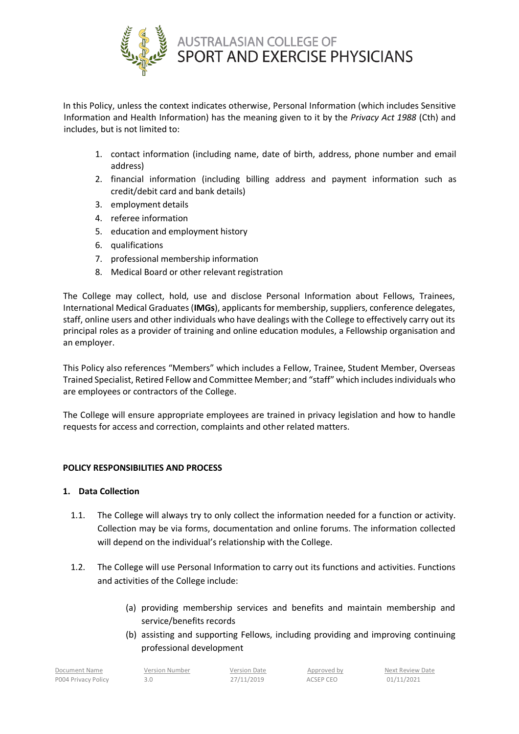

In this Policy, unless the context indicates otherwise, Personal Information (which includes Sensitive Information and Health Information) has the meaning given to it by the *Privacy Act 1988* (Cth) and includes, but is not limited to:

- 1. contact information (including name, date of birth, address, phone number and email address)
- 2. financial information (including billing address and payment information such as credit/debit card and bank details)
- 3. employment details
- 4. referee information
- 5. education and employment history
- 6. qualifications
- 7. professional membership information
- 8. Medical Board or other relevant registration

The College may collect, hold, use and disclose Personal Information about Fellows, Trainees, International Medical Graduates (**IMGs**), applicants for membership, suppliers, conference delegates, staff, online users and other individuals who have dealings with the College to effectively carry out its principal roles as a provider of training and online education modules, a Fellowship organisation and an employer.

This Policy also references "Members" which includes a Fellow, Trainee, Student Member, Overseas Trained Specialist, Retired Fellow and Committee Member; and "staff" which includes individuals who are employees or contractors of the College.

The College will ensure appropriate employees are trained in privacy legislation and how to handle requests for access and correction, complaints and other related matters.

# **POLICY RESPONSIBILITIES AND PROCESS**

## **1. Data Collection**

- 1.1. The College will always try to only collect the information needed for a function or activity. Collection may be via forms, documentation and online forums. The information collected will depend on the individual's relationship with the College.
- 1.2. The College will use Personal Information to carry out its functions and activities. Functions and activities of the College include:
	- (a) providing membership services and benefits and maintain membership and service/benefits records
	- (b) assisting and supporting Fellows, including providing and improving continuing professional development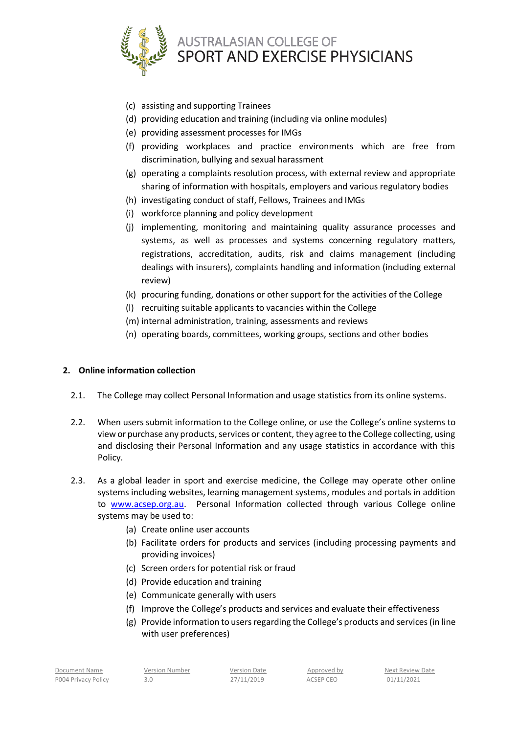

- (c) assisting and supporting Trainees
- (d) providing education and training (including via online modules)
- (e) providing assessment processes for IMGs
- (f) providing workplaces and practice environments which are free from discrimination, bullying and sexual harassment
- (g) operating a complaints resolution process, with external review and appropriate sharing of information with hospitals, employers and various regulatory bodies
- (h) investigating conduct of staff, Fellows, Trainees and IMGs
- (i) workforce planning and policy development
- (j) implementing, monitoring and maintaining quality assurance processes and systems, as well as processes and systems concerning regulatory matters, registrations, accreditation, audits, risk and claims management (including dealings with insurers), complaints handling and information (including external review)
- (k) procuring funding, donations or other support for the activities of the College
- (l) recruiting suitable applicants to vacancies within the College
- (m) internal administration, training, assessments and reviews
- (n) operating boards, committees, working groups, sections and other bodies

# **2. Online information collection**

- 2.1. The College may collect Personal Information and usage statistics from its online systems.
- 2.2. When users submit information to the College online, or use the College's online systems to view or purchase any products, services or content, they agree to the College collecting, using and disclosing their Personal Information and any usage statistics in accordance with this Policy.
- 2.3. As a global leader in sport and exercise medicine, the College may operate other online systems including websites, learning management systems, modules and portals in addition to [www.acsep.org.au.](http://www.acsep.org.au/) Personal Information collected through various College online systems may be used to:
	- (a) Create online user accounts
	- (b) Facilitate orders for products and services (including processing payments and providing invoices)
	- (c) Screen orders for potential risk or fraud
	- (d) Provide education and training
	- (e) Communicate generally with users
	- (f) Improve the College's products and services and evaluate their effectiveness
	- (g) Provide information to users regarding the College's products and services (in line with user preferences)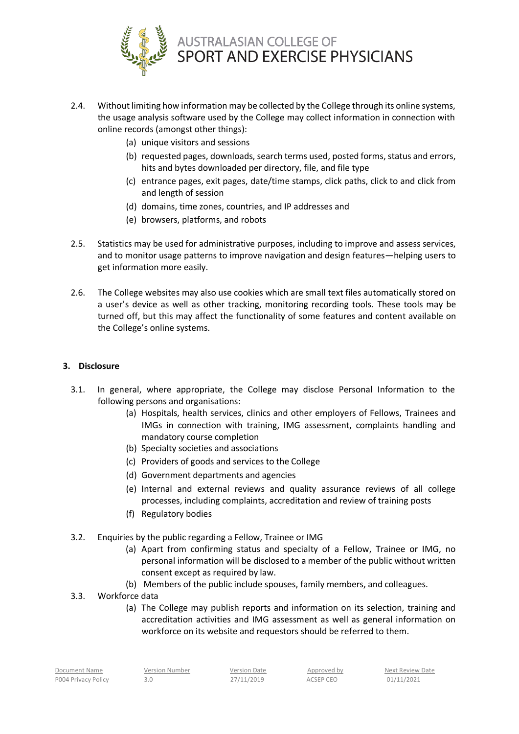

- 2.4. Without limiting how information may be collected by the College through its online systems, the usage analysis software used by the College may collect information in connection with online records (amongst other things):
	- (a) unique visitors and sessions
	- (b) requested pages, downloads, search terms used, posted forms, status and errors, hits and bytes downloaded per directory, file, and file type
	- (c) entrance pages, exit pages, date/time stamps, click paths, click to and click from and length of session
	- (d) domains, time zones, countries, and IP addresses and
	- (e) browsers, platforms, and robots
- 2.5. Statistics may be used for administrative purposes, including to improve and assess services, and to monitor usage patterns to improve navigation and design features—helping users to get information more easily.
- 2.6. The College websites may also use cookies which are small text files automatically stored on a user's device as well as other tracking, monitoring recording tools. These tools may be turned off, but this may affect the functionality of some features and content available on the College's online systems.

# **3. Disclosure**

- 3.1. In general, where appropriate, the College may disclose Personal Information to the following persons and organisations:
	- (a) Hospitals, health services, clinics and other employers of Fellows, Trainees and IMGs in connection with training, IMG assessment, complaints handling and mandatory course completion
	- (b) Specialty societies and associations
	- (c) Providers of goods and services to the College
	- (d) Government departments and agencies
	- (e) Internal and external reviews and quality assurance reviews of all college processes, including complaints, accreditation and review of training posts
	- (f) Regulatory bodies
- 3.2. Enquiries by the public regarding a Fellow, Trainee or IMG
	- (a) Apart from confirming status and specialty of a Fellow, Trainee or IMG, no personal information will be disclosed to a member of the public without written consent except as required by law.
	- (b) Members of the public include spouses, family members, and colleagues.
- 3.3. Workforce data
	- (a) The College may publish reports and information on its selection, training and accreditation activities and IMG assessment as well as general information on workforce on its website and requestors should be referred to them.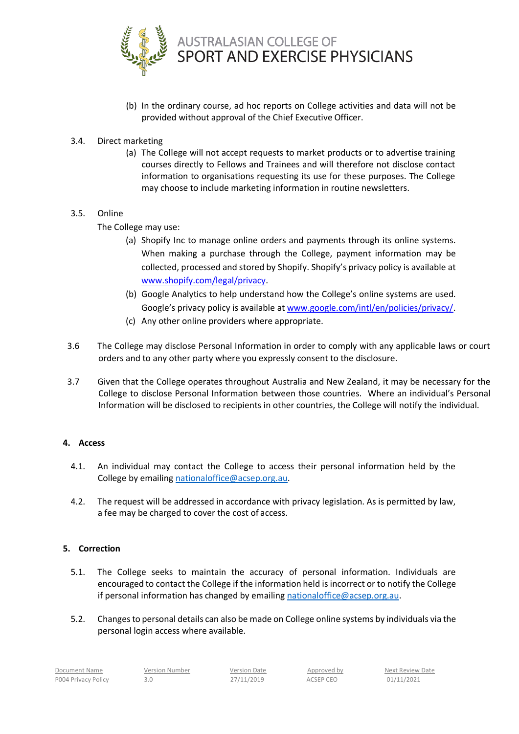

- (b) In the ordinary course, ad hoc reports on College activities and data will not be provided without approval of the Chief Executive Officer.
- 3.4. Direct marketing
	- (a) The College will not accept requests to market products or to advertise training courses directly to Fellows and Trainees and will therefore not disclose contact information to organisations requesting its use for these purposes. The College may choose to include marketing information in routine newsletters.

# 3.5. Online

The College may use:

- (a) Shopify Inc to manage online orders and payments through its online systems. When making a purchase through the College, payment information may be collected, processed and stored by Shopify. Shopify's privacy policy is available at [www.shopify.com/legal/privacy.](http://www.shopify.com/legal/privacy)
- (b) Google Analytics to help understand how the College's online systems are used. Google's privacy policy is available a[t www.google.com/intl/en/policies/privacy/.](http://www.google.com/intl/en/policies/privacy/)
- (c) Any other online providers where appropriate.
- 3.6 The College may disclose Personal Information in order to comply with any applicable laws or court orders and to any other party where you expressly consent to the disclosure.
- 3.7 Given that the College operates throughout Australia and New Zealand, it may be necessary for the College to disclose Personal Information between those countries. Where an individual's Personal Information will be disclosed to recipients in other countries, the College will notify the individual.

#### **4. Access**

- 4.1. An individual may contact the College to access their personal information held by the College by emailing [nationaloffice@acsep.org.au.](mailto:nationaloffice@acsep.org.au)
- 4.2. The request will be addressed in accordance with privacy legislation. As is permitted by law, a fee may be charged to cover the cost of access.

#### **5. Correction**

- 5.1. The College seeks to maintain the accuracy of personal information. Individuals are encouraged to contact the College if the information held is incorrect or to notify the College if personal information has changed by emailing [nationaloffice@acsep.org.au.](mailto:nationaloffice@acsep.org.au)
- 5.2. Changes to personal details can also be made on College online systems by individuals via the personal login access where available.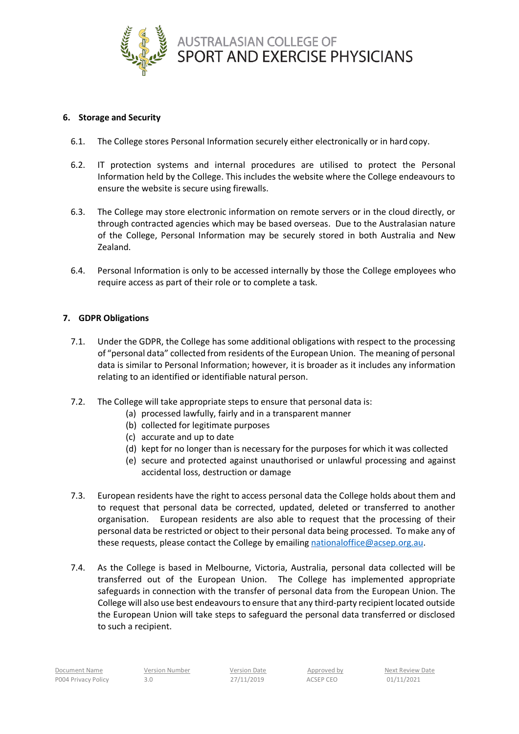

## **6. Storage and Security**

- 6.1. The College stores Personal Information securely either electronically or in hard copy.
- 6.2. IT protection systems and internal procedures are utilised to protect the Personal Information held by the College. This includes the website where the College endeavours to ensure the website is secure using firewalls.
- 6.3. The College may store electronic information on remote servers or in the cloud directly, or through contracted agencies which may be based overseas. Due to the Australasian nature of the College, Personal Information may be securely stored in both Australia and New Zealand.
- 6.4. Personal Information is only to be accessed internally by those the College employees who require access as part of their role or to complete a task.

## **7. GDPR Obligations**

- 7.1. Under the GDPR, the College has some additional obligations with respect to the processing of "personal data" collected from residents of the European Union. The meaning of personal data is similar to Personal Information; however, it is broader as it includes any information relating to an identified or identifiable natural person.
- 7.2. The College will take appropriate steps to ensure that personal data is:
	- (a) processed lawfully, fairly and in a transparent manner
	- (b) collected for legitimate purposes
	- (c) accurate and up to date
	- (d) kept for no longer than is necessary for the purposes for which it was collected
	- (e) secure and protected against unauthorised or unlawful processing and against accidental loss, destruction or damage
- 7.3. European residents have the right to access personal data the College holds about them and to request that personal data be corrected, updated, deleted or transferred to another organisation. European residents are also able to request that the processing of their personal data be restricted or object to their personal data being processed. To make any of these requests, please contact the College by emailing [nationaloffice@acsep.org.au.](mailto:nationaloffice@acsep.org.au)
- 7.4. As the College is based in Melbourne, Victoria, Australia, personal data collected will be transferred out of the European Union. The College has implemented appropriate safeguards in connection with the transfer of personal data from the European Union. The College will also use best endeavours to ensure that any third-party recipient located outside the European Union will take steps to safeguard the personal data transferred or disclosed to such a recipient.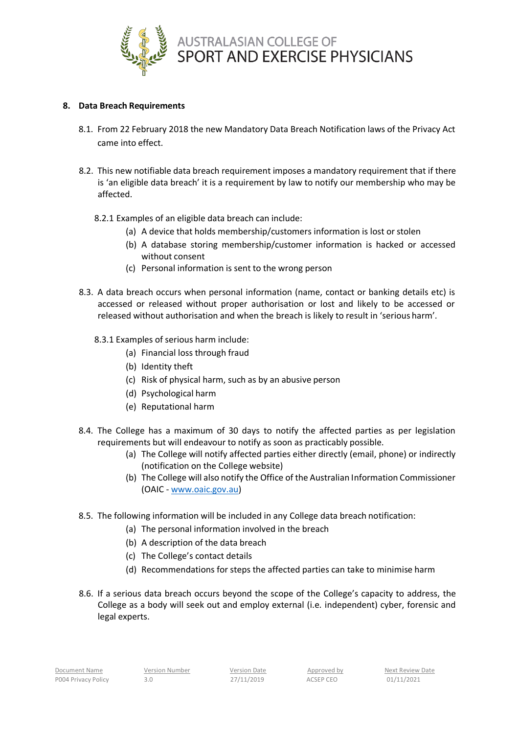

## **8. Data Breach Requirements**

- 8.1. From 22 February 2018 the new Mandatory Data Breach Notification laws of the Privacy Act came into effect.
- 8.2. This new notifiable data breach requirement imposes a mandatory requirement that if there is 'an eligible data breach' it is a requirement by law to notify our membership who may be affected.
	- 8.2.1 Examples of an eligible data breach can include:
		- (a) A device that holds membership/customers information is lost or stolen
		- (b) A database storing membership/customer information is hacked or accessed without consent
		- (c) Personal information is sent to the wrong person
- 8.3. A data breach occurs when personal information (name, contact or banking details etc) is accessed or released without proper authorisation or lost and likely to be accessed or released without authorisation and when the breach is likely to result in 'serious harm'.
	- 8.3.1 Examples of serious harm include:
		- (a) Financial loss through fraud
		- (b) Identity theft
		- (c) Risk of physical harm, such as by an abusive person
		- (d) Psychological harm
		- (e) Reputational harm
- 8.4. The College has a maximum of 30 days to notify the affected parties as per legislation requirements but will endeavour to notify as soon as practicably possible.
	- (a) The College will notify affected parties either directly (email, phone) or indirectly (notification on the College website)
	- (b) The College will also notify the Office of the Australian Information Commissioner (OAIC - [www.oaic.gov.au\)](http://www.oaic.gov.au/)
- 8.5. The following information will be included in any College data breach notification:
	- (a) The personal information involved in the breach
	- (b) A description of the data breach
	- (c) The College's contact details
	- (d) Recommendations for steps the affected parties can take to minimise harm
- 8.6. If a serious data breach occurs beyond the scope of the College's capacity to address, the College as a body will seek out and employ external (i.e. independent) cyber, forensic and legal experts.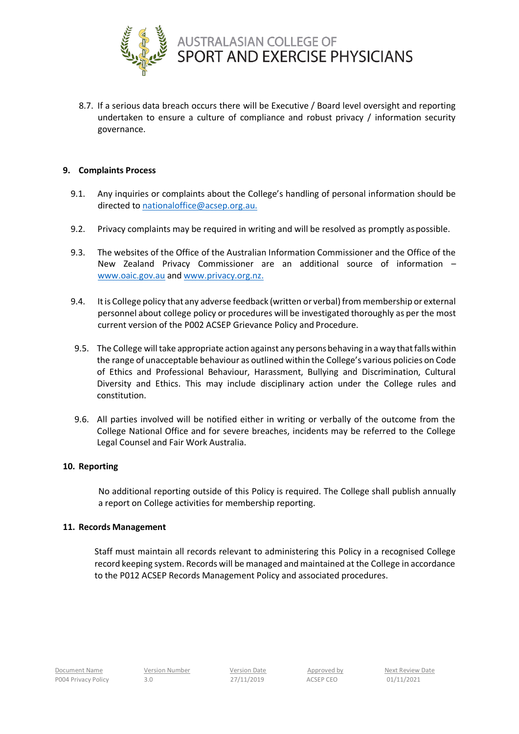

8.7. If a serious data breach occurs there will be Executive / Board level oversight and reporting undertaken to ensure a culture of compliance and robust privacy / information security governance.

## **9. Complaints Process**

- 9.1. Any inquiries or complaints about the College's handling of personal information should be directed t[o nationaloffice@acsep.org.au.](mailto:nationaloffice@acsep.org.au)
- 9.2. Privacy complaints may be required in writing and will be resolved as promptly aspossible.
- 9.3. The websites of the Office of the Australian Information Commissioner and the Office of the New Zealand Privacy Commissioner are an additional source of information – [www.oaic.gov.au](http://www.oaic.gov.au/) and [www.privacy.org.nz.](http://www.privacy.org.nz/)
- 9.4. Itis College policy that any adverse feedback (written or verbal) from membership or external personnel about college policy or procedures will be investigated thoroughly as per the most current version of the P002 ACSEP Grievance Policy and Procedure.
- 9.5. The College will take appropriate action against any persons behaving in a way that falls within the range of unacceptable behaviour as outlined within the College's various policies on Code of Ethics and Professional Behaviour, Harassment, Bullying and Discrimination, Cultural Diversity and Ethics. This may include disciplinary action under the College rules and constitution.
- 9.6. All parties involved will be notified either in writing or verbally of the outcome from the College National Office and for severe breaches, incidents may be referred to the College Legal Counsel and Fair Work Australia.

#### **10. Reporting**

No additional reporting outside of this Policy is required. The College shall publish annually a report on College activities for membership reporting.

#### **11. Records Management**

Staff must maintain all records relevant to administering this Policy in a recognised College record keeping system. Records will be managed and maintained at the College in accordance to the P012 ACSEP Records Management Policy and associated procedures.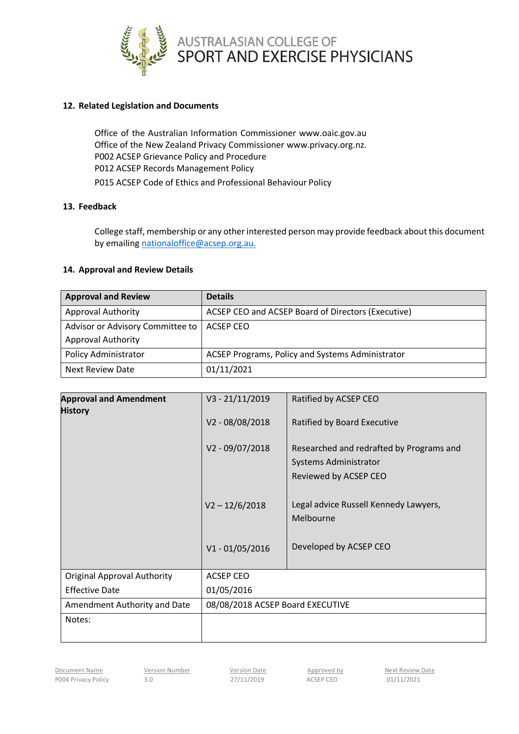

## **12. Related Legislation and Documents**

Office of the Australian Information Commissioner [www.oaic.gov.au](http://www.oaic.gov.au/) Office of the New Zealand Privacy Commissione[r www.privacy.org.nz.](http://www.privacy.org.nz/) P002 ACSEP Grievance Policy and Procedure P012 ACSEP Records Management Policy P015 ACSEP Code of Ethics and Professional Behaviour Policy

# **13. Feedback**

College staff, membership or any other interested person may provide feedback about this document by emailing [nationaloffice@acsep.org.au.](mailto:nationaloffice@acsep.org.au)

#### **14. Approval and Review Details**

| <b>Approval and Review</b>                                    | <b>Details</b>                                     |
|---------------------------------------------------------------|----------------------------------------------------|
| <b>Approval Authority</b>                                     | ACSEP CEO and ACSEP Board of Directors (Executive) |
| Advisor or Advisory Committee to<br><b>Approval Authority</b> | ACSEP CEO                                          |
| <b>Policy Administrator</b>                                   | ACSEP Programs, Policy and Systems Administrator   |
| <b>Next Review Date</b>                                       | 01/11/2021                                         |

| <b>Approval and Amendment</b><br><b>History</b> | $V3 - 21/11/2019$<br>V2-08/08/2018 | Ratified by ACSEP CEO<br>Ratified by Board Executive                                              |  |
|-------------------------------------------------|------------------------------------|---------------------------------------------------------------------------------------------------|--|
|                                                 | V2 - 09/07/2018                    | Researched and redrafted by Programs and<br><b>Systems Administrator</b><br>Reviewed by ACSEP CEO |  |
|                                                 | $V2 - 12/6/2018$                   | Legal advice Russell Kennedy Lawyers,<br>Melbourne                                                |  |
|                                                 | $V1 - 01/05/2016$                  | Developed by ACSEP CEO                                                                            |  |
| <b>Original Approval Authority</b>              | <b>ACSEP CEO</b>                   |                                                                                                   |  |
| <b>Effective Date</b>                           | 01/05/2016                         |                                                                                                   |  |
| Amendment Authority and Date                    | 08/08/2018 ACSEP Board EXECUTIVE   |                                                                                                   |  |
| Notes:                                          |                                    |                                                                                                   |  |

Document Name Version Number Version Date Approved by Next Review Date<br>
Number 2014 10000 ACSED CEO 01/11/2021 P004 Privacy Policy 3.0 3.0 27/11/2019 ACSEP CEO 01/11/2021